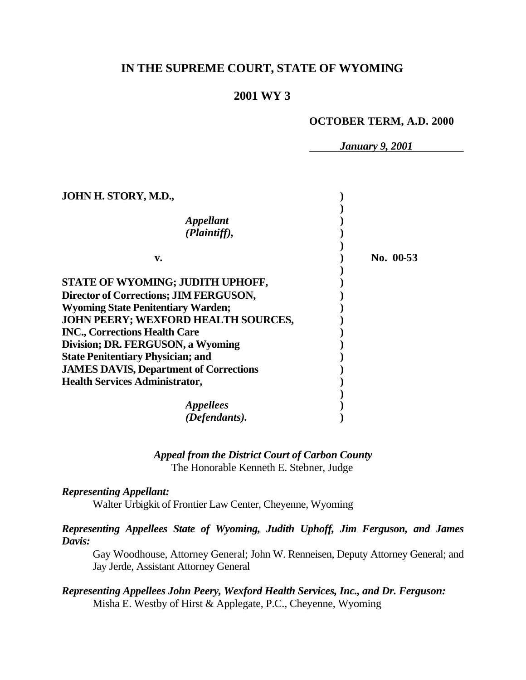# **IN THE SUPREME COURT, STATE OF WYOMING**

### **2001 WY 3**

#### **OCTOBER TERM, A.D. 2000**

*January 9, 2001*

| JOHN H. STORY, M.D.,                          |           |
|-----------------------------------------------|-----------|
| <b>Appellant</b><br>(Plaintiff),              |           |
|                                               |           |
| v.                                            | No. 00-53 |
| STATE OF WYOMING; JUDITH UPHOFF,              |           |
| Director of Corrections; JIM FERGUSON,        |           |
| <b>Wyoming State Penitentiary Warden;</b>     |           |
| JOHN PEERY; WEXFORD HEALTH SOURCES,           |           |
| <b>INC., Corrections Health Care</b>          |           |
| Division; DR. FERGUSON, a Wyoming             |           |
| <b>State Penitentiary Physician; and</b>      |           |
| <b>JAMES DAVIS, Department of Corrections</b> |           |
| <b>Health Services Administrator,</b>         |           |
|                                               |           |
| <i>Appellees</i>                              |           |
| (Defendants).                                 |           |

# *Appeal from the District Court of Carbon County*

The Honorable Kenneth E. Stebner, Judge

#### *Representing Appellant:*

Walter Urbigkit of Frontier Law Center, Cheyenne, Wyoming

### *Representing Appellees State of Wyoming, Judith Uphoff, Jim Ferguson, and James Davis:*

Gay Woodhouse, Attorney General; John W. Renneisen, Deputy Attorney General; and Jay Jerde, Assistant Attorney General

## *Representing Appellees John Peery, Wexford Health Services, Inc., and Dr. Ferguson:* Misha E. Westby of Hirst & Applegate, P.C., Cheyenne, Wyoming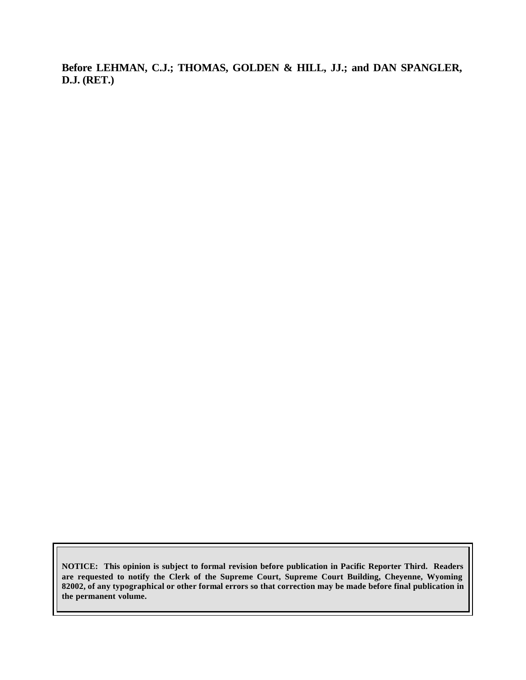**Before LEHMAN, C.J.; THOMAS, GOLDEN & HILL, JJ.; and DAN SPANGLER, D.J. (RET.)**

**NOTICE: This opinion is subject to formal revision before publication in Pacific Reporter Third. Readers are requested to notify the Clerk of the Supreme Court, Supreme Court Building, Cheyenne, Wyoming 82002, of any typographical or other formal errors so that correction may be made before final publication in the permanent volume.**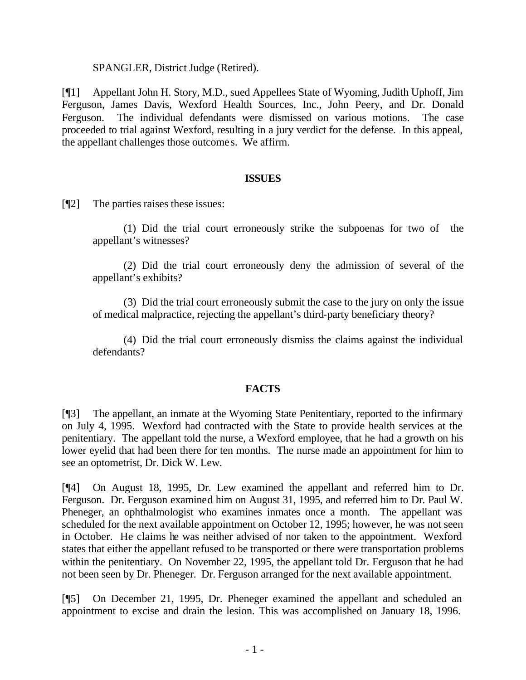SPANGLER, District Judge (Retired).

[¶1] Appellant John H. Story, M.D., sued Appellees State of Wyoming, Judith Uphoff, Jim Ferguson, James Davis, Wexford Health Sources, Inc., John Peery, and Dr. Donald Ferguson. The individual defendants were dismissed on various motions. The case proceeded to trial against Wexford, resulting in a jury verdict for the defense. In this appeal, the appellant challenges those outcomes. We affirm.

#### **ISSUES**

[¶2] The parties raises these issues:

(1) Did the trial court erroneously strike the subpoenas for two of the appellant's witnesses?

(2) Did the trial court erroneously deny the admission of several of the appellant's exhibits?

(3) Did the trial court erroneously submit the case to the jury on only the issue of medical malpractice, rejecting the appellant's third-party beneficiary theory?

(4) Did the trial court erroneously dismiss the claims against the individual defendants?

#### **FACTS**

[¶3] The appellant, an inmate at the Wyoming State Penitentiary, reported to the infirmary on July 4, 1995. Wexford had contracted with the State to provide health services at the penitentiary. The appellant told the nurse, a Wexford employee, that he had a growth on his lower eyelid that had been there for ten months. The nurse made an appointment for him to see an optometrist, Dr. Dick W. Lew.

[¶4] On August 18, 1995, Dr. Lew examined the appellant and referred him to Dr. Ferguson. Dr. Ferguson examined him on August 31, 1995, and referred him to Dr. Paul W. Pheneger, an ophthalmologist who examines inmates once a month. The appellant was scheduled for the next available appointment on October 12, 1995; however, he was not seen in October. He claims he was neither advised of nor taken to the appointment. Wexford states that either the appellant refused to be transported or there were transportation problems within the penitentiary. On November 22, 1995, the appellant told Dr. Ferguson that he had not been seen by Dr. Pheneger. Dr. Ferguson arranged for the next available appointment.

[¶5] On December 21, 1995, Dr. Pheneger examined the appellant and scheduled an appointment to excise and drain the lesion. This was accomplished on January 18, 1996.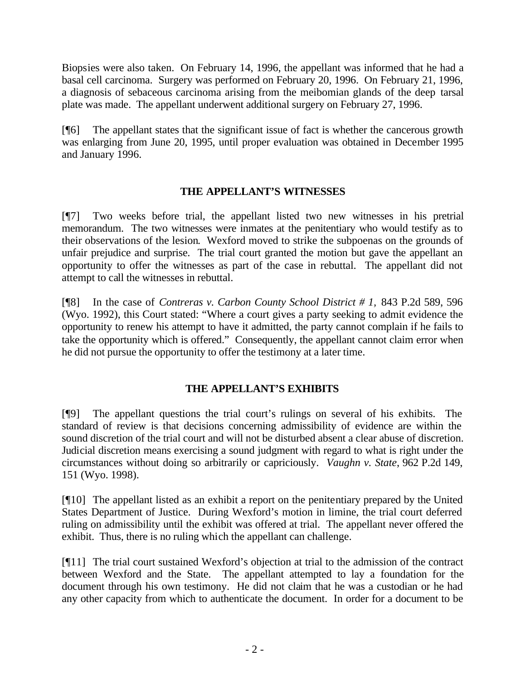Biopsies were also taken. On February 14, 1996, the appellant was informed that he had a basal cell carcinoma. Surgery was performed on February 20, 1996. On February 21, 1996, a diagnosis of sebaceous carcinoma arising from the meibomian glands of the deep tarsal plate was made. The appellant underwent additional surgery on February 27, 1996.

[¶6] The appellant states that the significant issue of fact is whether the cancerous growth was enlarging from June 20, 1995, until proper evaluation was obtained in December 1995 and January 1996.

## **THE APPELLANT'S WITNESSES**

[¶7] Two weeks before trial, the appellant listed two new witnesses in his pretrial memorandum. The two witnesses were inmates at the penitentiary who would testify as to their observations of the lesion. Wexford moved to strike the subpoenas on the grounds of unfair prejudice and surprise. The trial court granted the motion but gave the appellant an opportunity to offer the witnesses as part of the case in rebuttal. The appellant did not attempt to call the witnesses in rebuttal.

[¶8] In the case of *Contreras v. Carbon County School District # 1,* 843 P.2d 589, 596 (Wyo. 1992), this Court stated: "Where a court gives a party seeking to admit evidence the opportunity to renew his attempt to have it admitted, the party cannot complain if he fails to take the opportunity which is offered." Consequently, the appellant cannot claim error when he did not pursue the opportunity to offer the testimony at a later time.

## **THE APPELLANT'S EXHIBITS**

[¶9] The appellant questions the trial court's rulings on several of his exhibits. The standard of review is that decisions concerning admissibility of evidence are within the sound discretion of the trial court and will not be disturbed absent a clear abuse of discretion. Judicial discretion means exercising a sound judgment with regard to what is right under the circumstances without doing so arbitrarily or capriciously. *Vaughn v. State*, 962 P.2d 149, 151 (Wyo. 1998).

[¶10] The appellant listed as an exhibit a report on the penitentiary prepared by the United States Department of Justice. During Wexford's motion in limine, the trial court deferred ruling on admissibility until the exhibit was offered at trial. The appellant never offered the exhibit. Thus, there is no ruling which the appellant can challenge.

[¶11] The trial court sustained Wexford's objection at trial to the admission of the contract between Wexford and the State. The appellant attempted to lay a foundation for the document through his own testimony. He did not claim that he was a custodian or he had any other capacity from which to authenticate the document. In order for a document to be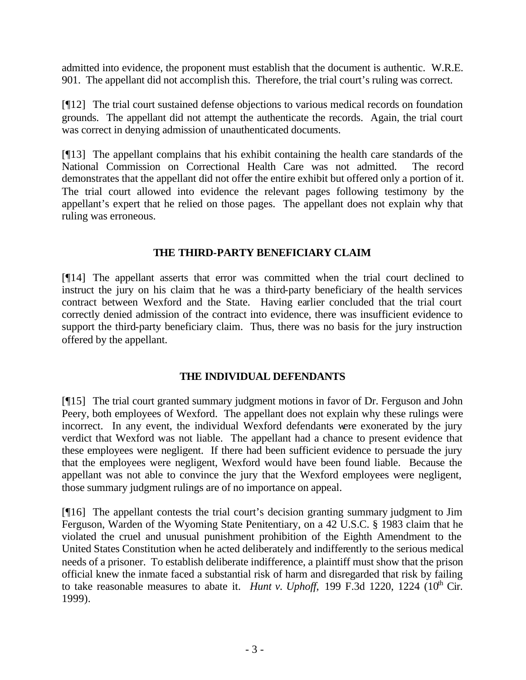admitted into evidence, the proponent must establish that the document is authentic. W.R.E. 901. The appellant did not accomplish this. Therefore, the trial court's ruling was correct.

[¶12] The trial court sustained defense objections to various medical records on foundation grounds. The appellant did not attempt the authenticate the records. Again, the trial court was correct in denying admission of unauthenticated documents.

[¶13] The appellant complains that his exhibit containing the health care standards of the National Commission on Correctional Health Care was not admitted. The record demonstrates that the appellant did not offer the entire exhibit but offered only a portion of it. The trial court allowed into evidence the relevant pages following testimony by the appellant's expert that he relied on those pages. The appellant does not explain why that ruling was erroneous.

## **THE THIRD-PARTY BENEFICIARY CLAIM**

[¶14] The appellant asserts that error was committed when the trial court declined to instruct the jury on his claim that he was a third-party beneficiary of the health services contract between Wexford and the State. Having earlier concluded that the trial court correctly denied admission of the contract into evidence, there was insufficient evidence to support the third-party beneficiary claim. Thus, there was no basis for the jury instruction offered by the appellant.

#### **THE INDIVIDUAL DEFENDANTS**

[¶15] The trial court granted summary judgment motions in favor of Dr. Ferguson and John Peery, both employees of Wexford. The appellant does not explain why these rulings were incorrect. In any event, the individual Wexford defendants were exonerated by the jury verdict that Wexford was not liable. The appellant had a chance to present evidence that these employees were negligent. If there had been sufficient evidence to persuade the jury that the employees were negligent, Wexford would have been found liable. Because the appellant was not able to convince the jury that the Wexford employees were negligent, those summary judgment rulings are of no importance on appeal.

[¶16] The appellant contests the trial court's decision granting summary judgment to Jim Ferguson, Warden of the Wyoming State Penitentiary, on a 42 U.S.C. § 1983 claim that he violated the cruel and unusual punishment prohibition of the Eighth Amendment to the United States Constitution when he acted deliberately and indifferently to the serious medical needs of a prisoner. To establish deliberate indifference, a plaintiff must show that the prison official knew the inmate faced a substantial risk of harm and disregarded that risk by failing to take reasonable measures to abate it. *Hunt v. Uphoff*,  $199$  F.3d  $1220$ ,  $1224$   $(10<sup>th</sup>)$  Cir. 1999).